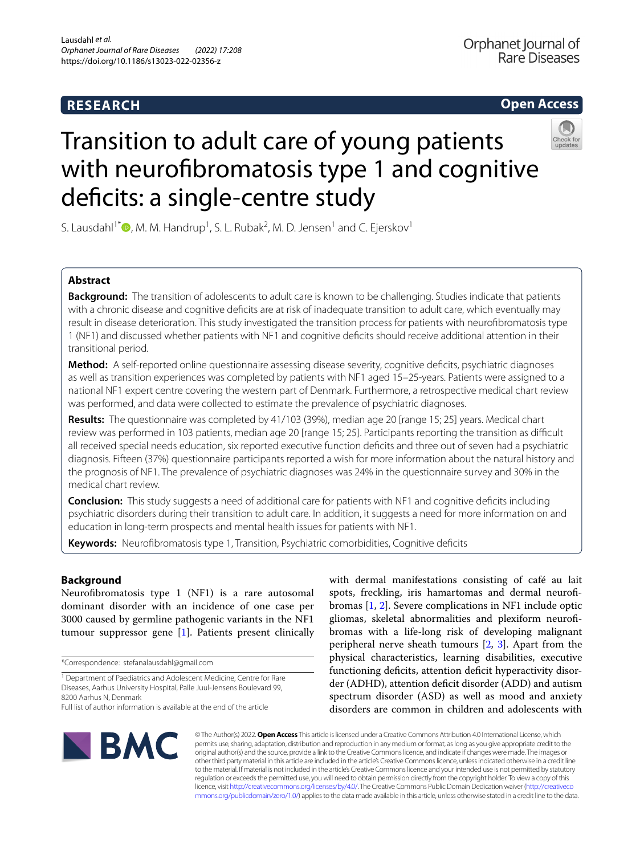## **RESEARCH**

**Open Access**

# Transition to adult care of young patients with neurofbromatosis type 1 and cognitive deficits: a single-centre study

S. Lausdahl<sup>1[\\*](http://orcid.org/0000-0002-0939-3694)</sup> $\bullet$ , M. M. Handrup<sup>1</sup>, S. L. Rubak<sup>2</sup>, M. D. Jensen<sup>1</sup> and C. Ejerskov<sup>1</sup>

## **Abstract**

**Background:** The transition of adolescents to adult care is known to be challenging. Studies indicate that patients with a chronic disease and cognitive deficits are at risk of inadequate transition to adult care, which eventually may result in disease deterioration. This study investigated the transition process for patients with neurofbromatosis type 1 (NF1) and discussed whether patients with NF1 and cognitive defcits should receive additional attention in their transitional period.

**Method:** A self-reported online questionnaire assessing disease severity, cognitive defcits, psychiatric diagnoses as well as transition experiences was completed by patients with NF1 aged 15–25-years. Patients were assigned to a national NF1 expert centre covering the western part of Denmark. Furthermore, a retrospective medical chart review was performed, and data were collected to estimate the prevalence of psychiatric diagnoses.

**Results:** The questionnaire was completed by 41/103 (39%), median age 20 [range 15; 25] years. Medical chart review was performed in 103 patients, median age 20 [range 15; 25]. Participants reporting the transition as difficult all received special needs education, six reported executive function defcits and three out of seven had a psychiatric diagnosis. Fifteen (37%) questionnaire participants reported a wish for more information about the natural history and the prognosis of NF1. The prevalence of psychiatric diagnoses was 24% in the questionnaire survey and 30% in the medical chart review.

**Conclusion:** This study suggests a need of additional care for patients with NF1 and cognitive deficits including psychiatric disorders during their transition to adult care. In addition, it suggests a need for more information on and education in long-term prospects and mental health issues for patients with NF1.

**Keywords:** Neurofibromatosis type 1, Transition, Psychiatric comorbidities, Cognitive deficits

## **Background**

Neurofbromatosis type 1 (NF1) is a rare autosomal dominant disorder with an incidence of one case per 3000 caused by germline pathogenic variants in the NF1 tumour suppressor gene [[1](#page-5-0)]. Patients present clinically

\*Correspondence: stefanalausdahl@gmail.com

with dermal manifestations consisting of café au lait spots, freckling, iris hamartomas and dermal neurofibromas [\[1](#page-5-0), [2](#page-5-1)]. Severe complications in NF1 include optic gliomas, skeletal abnormalities and plexiform neurofbromas with a life-long risk of developing malignant peripheral nerve sheath tumours  $[2, 3]$  $[2, 3]$  $[2, 3]$  $[2, 3]$ . Apart from the physical characteristics, learning disabilities, executive functioning deficits, attention deficit hyperactivity disorder (ADHD), attention deficit disorder (ADD) and autism spectrum disorder (ASD) as well as mood and anxiety disorders are common in children and adolescents with



© The Author(s) 2022. **Open Access** This article is licensed under a Creative Commons Attribution 4.0 International License, which permits use, sharing, adaptation, distribution and reproduction in any medium or format, as long as you give appropriate credit to the original author(s) and the source, provide a link to the Creative Commons licence, and indicate if changes were made. The images or other third party material in this article are included in the article's Creative Commons licence, unless indicated otherwise in a credit line to the material. If material is not included in the article's Creative Commons licence and your intended use is not permitted by statutory regulation or exceeds the permitted use, you will need to obtain permission directly from the copyright holder. To view a copy of this licence, visit [http://creativecommons.org/licenses/by/4.0/.](http://creativecommons.org/licenses/by/4.0/) The Creative Commons Public Domain Dedication waiver ([http://creativeco](http://creativecommons.org/publicdomain/zero/1.0/) [mmons.org/publicdomain/zero/1.0/](http://creativecommons.org/publicdomain/zero/1.0/)) applies to the data made available in this article, unless otherwise stated in a credit line to the data.

<sup>&</sup>lt;sup>1</sup> Department of Paediatrics and Adolescent Medicine, Centre for Rare Diseases, Aarhus University Hospital, Palle Juul-Jensens Boulevard 99, 8200 Aarhus N, Denmark

Full list of author information is available at the end of the article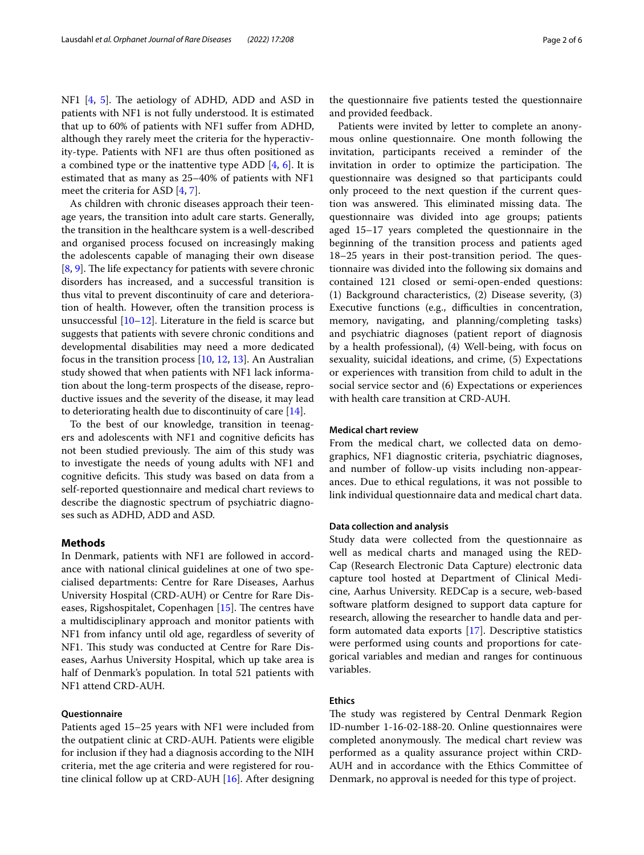NF1  $[4, 5]$  $[4, 5]$  $[4, 5]$  $[4, 5]$ . The aetiology of ADHD, ADD and ASD in patients with NF1 is not fully understood. It is estimated that up to 60% of patients with NF1 sufer from ADHD, although they rarely meet the criteria for the hyperactivity-type. Patients with NF1 are thus often positioned as a combined type or the inattentive type ADD  $[4, 6]$  $[4, 6]$  $[4, 6]$  $[4, 6]$ . It is estimated that as many as 25–40% of patients with NF1 meet the criteria for ASD [[4,](#page-5-3) [7](#page-5-6)].

As children with chronic diseases approach their teenage years, the transition into adult care starts. Generally, the transition in the healthcare system is a well-described and organised process focused on increasingly making the adolescents capable of managing their own disease  $[8, 9]$  $[8, 9]$  $[8, 9]$  $[8, 9]$ . The life expectancy for patients with severe chronic disorders has increased, and a successful transition is thus vital to prevent discontinuity of care and deterioration of health. However, often the transition process is unsuccessful [\[10](#page-5-9)[–12](#page-5-10)]. Literature in the feld is scarce but suggests that patients with severe chronic conditions and developmental disabilities may need a more dedicated focus in the transition process [\[10,](#page-5-9) [12,](#page-5-10) [13](#page-5-11)]. An Australian study showed that when patients with NF1 lack information about the long-term prospects of the disease, reproductive issues and the severity of the disease, it may lead to deteriorating health due to discontinuity of care [[14](#page-5-12)].

To the best of our knowledge, transition in teenagers and adolescents with NF1 and cognitive defcits has not been studied previously. The aim of this study was to investigate the needs of young adults with NF1 and cognitive deficits. This study was based on data from a self-reported questionnaire and medical chart reviews to describe the diagnostic spectrum of psychiatric diagnoses such as ADHD, ADD and ASD.

## **Methods**

In Denmark, patients with NF1 are followed in accordance with national clinical guidelines at one of two specialised departments: Centre for Rare Diseases, Aarhus University Hospital (CRD-AUH) or Centre for Rare Diseases, Rigshospitalet, Copenhagen  $[15]$  $[15]$  $[15]$ . The centres have a multidisciplinary approach and monitor patients with NF1 from infancy until old age, regardless of severity of NF1. This study was conducted at Centre for Rare Diseases, Aarhus University Hospital, which up take area is half of Denmark's population. In total 521 patients with NF1 attend CRD-AUH.

## **Questionnaire**

Patients aged 15–25 years with NF1 were included from the outpatient clinic at CRD-AUH. Patients were eligible for inclusion if they had a diagnosis according to the NIH criteria, met the age criteria and were registered for routine clinical follow up at CRD-AUH [\[16](#page-5-14)]. After designing the questionnaire fve patients tested the questionnaire and provided feedback.

Patients were invited by letter to complete an anonymous online questionnaire. One month following the invitation, participants received a reminder of the invitation in order to optimize the participation. The questionnaire was designed so that participants could only proceed to the next question if the current question was answered. This eliminated missing data. The questionnaire was divided into age groups; patients aged 15–17 years completed the questionnaire in the beginning of the transition process and patients aged  $18-25$  years in their post-transition period. The questionnaire was divided into the following six domains and contained 121 closed or semi-open-ended questions: (1) Background characteristics, (2) Disease severity, (3) Executive functions (e.g., difficulties in concentration, memory, navigating, and planning/completing tasks) and psychiatric diagnoses (patient report of diagnosis by a health professional), (4) Well-being, with focus on sexuality, suicidal ideations, and crime, (5) Expectations or experiences with transition from child to adult in the social service sector and (6) Expectations or experiences with health care transition at CRD-AUH.

## **Medical chart review**

From the medical chart, we collected data on demographics, NF1 diagnostic criteria, psychiatric diagnoses, and number of follow-up visits including non-appearances. Due to ethical regulations, it was not possible to link individual questionnaire data and medical chart data.

## **Data collection and analysis**

Study data were collected from the questionnaire as well as medical charts and managed using the RED-Cap (Research Electronic Data Capture) electronic data capture tool hosted at Department of Clinical Medicine, Aarhus University. REDCap is a secure, web-based software platform designed to support data capture for research, allowing the researcher to handle data and perform automated data exports [\[17\]](#page-5-15). Descriptive statistics were performed using counts and proportions for categorical variables and median and ranges for continuous variables.

## **Ethics**

The study was registered by Central Denmark Region ID-number 1-16-02-188-20. Online questionnaires were completed anonymously. The medical chart review was performed as a quality assurance project within CRD-AUH and in accordance with the Ethics Committee of Denmark, no approval is needed for this type of project.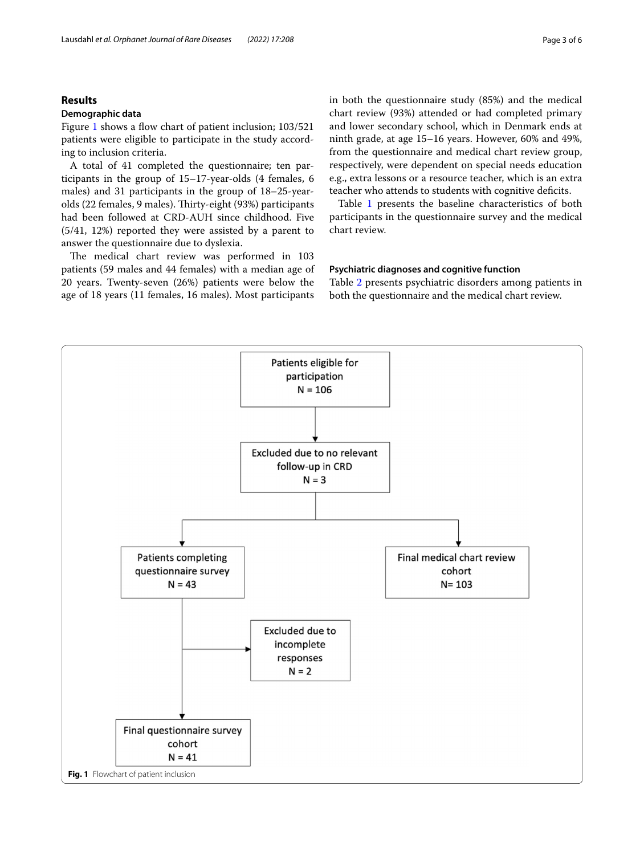## **Results**

## **Demographic data**

Figure [1](#page-2-0) shows a flow chart of patient inclusion; 103/521 patients were eligible to participate in the study according to inclusion criteria.

A total of 41 completed the questionnaire; ten participants in the group of 15–17-year-olds (4 females, 6 males) and 31 participants in the group of 18–25-yearolds (22 females, 9 males). Thirty-eight (93%) participants had been followed at CRD-AUH since childhood. Five (5/41, 12%) reported they were assisted by a parent to answer the questionnaire due to dyslexia.

The medical chart review was performed in 103 patients (59 males and 44 females) with a median age of 20 years. Twenty-seven (26%) patients were below the age of 18 years (11 females, 16 males). Most participants in both the questionnaire study (85%) and the medical chart review (93%) attended or had completed primary and lower secondary school, which in Denmark ends at ninth grade, at age 15–16 years. However, 60% and 49%, from the questionnaire and medical chart review group, respectively, were dependent on special needs education e.g., extra lessons or a resource teacher, which is an extra teacher who attends to students with cognitive deficits.

Table [1](#page-3-0) presents the baseline characteristics of both participants in the questionnaire survey and the medical chart review.

## **Psychiatric diagnoses and cognitive function**

Table [2](#page-3-1) presents psychiatric disorders among patients in both the questionnaire and the medical chart review.

<span id="page-2-0"></span>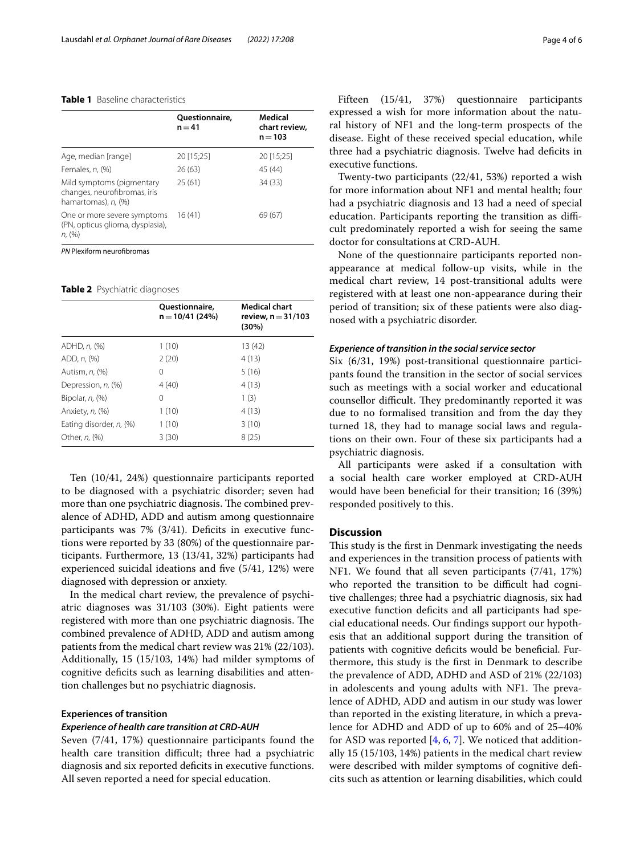## <span id="page-3-0"></span>**Table 1** Baseline characteristics

|                                                                                  | Questionnaire,<br>$n = 41$ | Medical<br>chart review,<br>$n = 103$ |
|----------------------------------------------------------------------------------|----------------------------|---------------------------------------|
| Age, median [range]                                                              | 20 [15;25]                 | 20 [15;25]                            |
| Females, n, (%)                                                                  | 26(63)                     | 45 (44)                               |
| Mild symptoms (pigmentary<br>changes, neurofibromas, iris<br>hamartomas), n, (%) | 25(61)                     | 34(33)                                |
| One or more severe symptoms<br>(PN, opticus glioma, dysplasia),<br>$n, (\% )$    | 16(41)                     | 69 (67)                               |

*PN* Plexiform neurofbromas

<span id="page-3-1"></span>**Table 2** Psychiatric diagnoses

|                         | <b>Ouestionnaire</b> ,<br>$n = 10/41(24%)$ | <b>Medical chart</b><br>review, $n = 31/103$ |
|-------------------------|--------------------------------------------|----------------------------------------------|
|                         |                                            | (30%)                                        |
| ADHD, n, (%)            | 1(10)                                      | 13 (42)                                      |
| ADD, n, (%)             | 2(20)                                      | 4(13)                                        |
| Autism, <i>n.</i> (%)   | 0                                          | 5(16)                                        |
| Depression, n, (%)      | 4(40)                                      | 4(13)                                        |
| Bipolar, $n$ , $(\%)$   | 0                                          | 1(3)                                         |
| Anxiety, n, (%)         | 1(10)                                      | 4(13)                                        |
| Eating disorder, n, (%) | 1(10)                                      | 3(10)                                        |
| Other, <i>n</i> , (%)   | 3(30)                                      | 8(25)                                        |

Ten (10/41, 24%) questionnaire participants reported to be diagnosed with a psychiatric disorder; seven had more than one psychiatric diagnosis. The combined prevalence of ADHD, ADD and autism among questionnaire participants was 7% (3/41). Deficits in executive functions were reported by 33 (80%) of the questionnaire participants. Furthermore, 13 (13/41, 32%) participants had experienced suicidal ideations and fve (5/41, 12%) were diagnosed with depression or anxiety.

In the medical chart review, the prevalence of psychiatric diagnoses was 31/103 (30%). Eight patients were registered with more than one psychiatric diagnosis. The combined prevalence of ADHD, ADD and autism among patients from the medical chart review was 21% (22/103). Additionally, 15 (15/103, 14%) had milder symptoms of cognitive deficits such as learning disabilities and attention challenges but no psychiatric diagnosis.

## **Experiences of transition**

#### *Experience of health care transition at CRD‑AUH*

Seven (7/41, 17%) questionnaire participants found the health care transition difficult; three had a psychiatric diagnosis and six reported defcits in executive functions. All seven reported a need for special education.

Fifteen (15/41, 37%) questionnaire participants expressed a wish for more information about the natural history of NF1 and the long-term prospects of the disease. Eight of these received special education, while three had a psychiatric diagnosis. Twelve had defcits in executive functions.

Twenty-two participants (22/41, 53%) reported a wish for more information about NF1 and mental health; four had a psychiatric diagnosis and 13 had a need of special education. Participants reporting the transition as difficult predominately reported a wish for seeing the same doctor for consultations at CRD-AUH.

None of the questionnaire participants reported nonappearance at medical follow-up visits, while in the medical chart review, 14 post-transitional adults were registered with at least one non-appearance during their period of transition; six of these patients were also diagnosed with a psychiatric disorder.

## *Experience of transition in the social service sector*

Six (6/31, 19%) post-transitional questionnaire participants found the transition in the sector of social services such as meetings with a social worker and educational counsellor difficult. They predominantly reported it was due to no formalised transition and from the day they turned 18, they had to manage social laws and regulations on their own. Four of these six participants had a psychiatric diagnosis.

All participants were asked if a consultation with a social health care worker employed at CRD-AUH would have been benefcial for their transition; 16 (39%) responded positively to this.

## **Discussion**

This study is the first in Denmark investigating the needs and experiences in the transition process of patients with NF1. We found that all seven participants (7/41, 17%) who reported the transition to be difficult had cognitive challenges; three had a psychiatric diagnosis, six had executive function defcits and all participants had special educational needs. Our fndings support our hypothesis that an additional support during the transition of patients with cognitive deficits would be beneficial. Furthermore, this study is the frst in Denmark to describe the prevalence of ADD, ADHD and ASD of 21% (22/103) in adolescents and young adults with NF1. The prevalence of ADHD, ADD and autism in our study was lower than reported in the existing literature, in which a prevalence for ADHD and ADD of up to 60% and of 25–40% for ASD was reported  $[4, 6, 7]$  $[4, 6, 7]$  $[4, 6, 7]$  $[4, 6, 7]$  $[4, 6, 7]$ . We noticed that additionally 15 (15/103, 14%) patients in the medical chart review were described with milder symptoms of cognitive defcits such as attention or learning disabilities, which could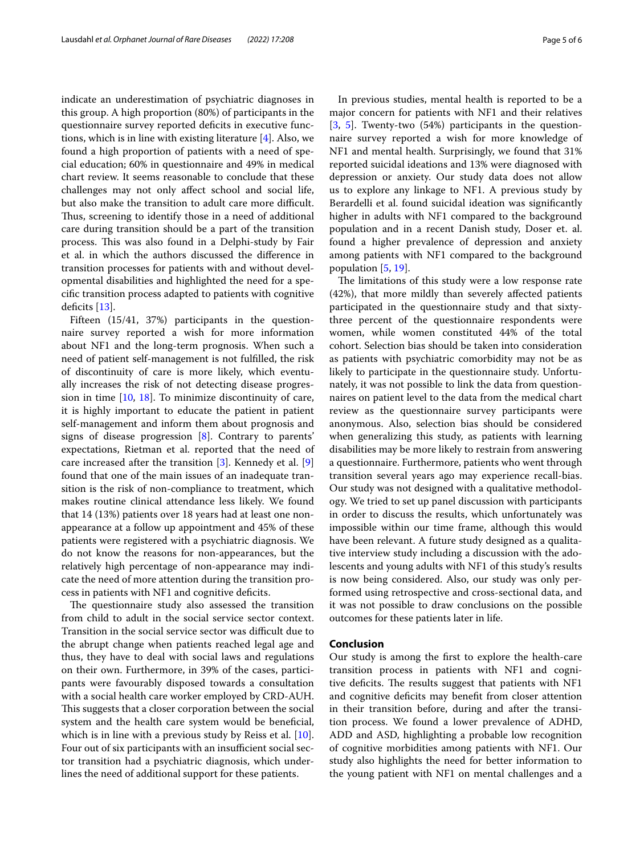indicate an underestimation of psychiatric diagnoses in this group. A high proportion (80%) of participants in the questionnaire survey reported deficits in executive functions, which is in line with existing literature [\[4](#page-5-3)]. Also, we found a high proportion of patients with a need of special education; 60% in questionnaire and 49% in medical chart review. It seems reasonable to conclude that these challenges may not only afect school and social life, but also make the transition to adult care more difficult. Thus, screening to identify those in a need of additional care during transition should be a part of the transition process. This was also found in a Delphi-study by Fair et al. in which the authors discussed the diference in transition processes for patients with and without developmental disabilities and highlighted the need for a specifc transition process adapted to patients with cognitive deficits  $[13]$  $[13]$  $[13]$ .

Fifteen (15/41, 37%) participants in the questionnaire survey reported a wish for more information about NF1 and the long-term prognosis. When such a need of patient self-management is not fulflled, the risk of discontinuity of care is more likely, which eventually increases the risk of not detecting disease progression in time [\[10](#page-5-9), [18](#page-5-16)]. To minimize discontinuity of care, it is highly important to educate the patient in patient self-management and inform them about prognosis and signs of disease progression [[8](#page-5-7)]. Contrary to parents' expectations, Rietman et al. reported that the need of care increased after the transition [\[3](#page-5-2)]. Kennedy et al. [\[9](#page-5-8)] found that one of the main issues of an inadequate transition is the risk of non-compliance to treatment, which makes routine clinical attendance less likely. We found that 14 (13%) patients over 18 years had at least one nonappearance at a follow up appointment and 45% of these patients were registered with a psychiatric diagnosis. We do not know the reasons for non-appearances, but the relatively high percentage of non-appearance may indicate the need of more attention during the transition process in patients with NF1 and cognitive defcits.

The questionnaire study also assessed the transition from child to adult in the social service sector context. Transition in the social service sector was difficult due to the abrupt change when patients reached legal age and thus, they have to deal with social laws and regulations on their own. Furthermore, in 39% of the cases, participants were favourably disposed towards a consultation with a social health care worker employed by CRD-AUH. This suggests that a closer corporation between the social system and the health care system would be beneficial, which is in line with a previous study by Reiss et al. [\[10](#page-5-9)]. Four out of six participants with an insufficient social sector transition had a psychiatric diagnosis, which underlines the need of additional support for these patients.

In previous studies, mental health is reported to be a major concern for patients with NF1 and their relatives [[3,](#page-5-2) [5\]](#page-5-4). Twenty-two (54%) participants in the questionnaire survey reported a wish for more knowledge of NF1 and mental health. Surprisingly, we found that 31% reported suicidal ideations and 13% were diagnosed with depression or anxiety. Our study data does not allow us to explore any linkage to NF1. A previous study by Berardelli et al. found suicidal ideation was signifcantly higher in adults with NF1 compared to the background population and in a recent Danish study, Doser et. al. found a higher prevalence of depression and anxiety among patients with NF1 compared to the background population [[5,](#page-5-4) [19](#page-5-17)].

The limitations of this study were a low response rate (42%), that more mildly than severely afected patients participated in the questionnaire study and that sixtythree percent of the questionnaire respondents were women, while women constituted 44% of the total cohort. Selection bias should be taken into consideration as patients with psychiatric comorbidity may not be as likely to participate in the questionnaire study. Unfortunately, it was not possible to link the data from questionnaires on patient level to the data from the medical chart review as the questionnaire survey participants were anonymous. Also, selection bias should be considered when generalizing this study, as patients with learning disabilities may be more likely to restrain from answering a questionnaire. Furthermore, patients who went through transition several years ago may experience recall-bias. Our study was not designed with a qualitative methodology. We tried to set up panel discussion with participants in order to discuss the results, which unfortunately was impossible within our time frame, although this would have been relevant. A future study designed as a qualitative interview study including a discussion with the adolescents and young adults with NF1 of this study's results is now being considered. Also, our study was only performed using retrospective and cross-sectional data, and it was not possible to draw conclusions on the possible outcomes for these patients later in life.

## **Conclusion**

Our study is among the frst to explore the health-care transition process in patients with NF1 and cognitive deficits. The results suggest that patients with NF1 and cognitive deficits may benefit from closer attention in their transition before, during and after the transition process. We found a lower prevalence of ADHD, ADD and ASD, highlighting a probable low recognition of cognitive morbidities among patients with NF1. Our study also highlights the need for better information to the young patient with NF1 on mental challenges and a